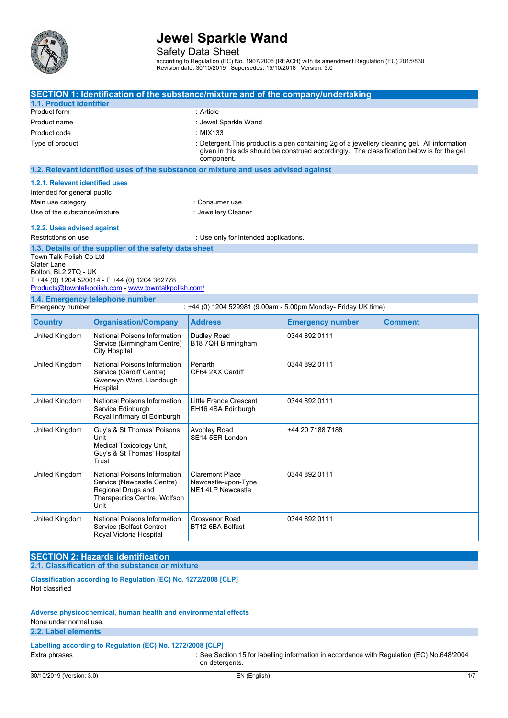

Safety Data Sheet

according to Regulation (EC) No. 1907/2006 (REACH) with its amendment Regulation (EU) 2015/830 Revision date: 30/10/2019 Supersedes: 15/10/2018 Version: 3.0

| SECTION 1: Identification of the substance/mixture and of the company/undertaking |                                                                                                                          |                                                                    |                                                                                                                                                                                             |                |  |
|-----------------------------------------------------------------------------------|--------------------------------------------------------------------------------------------------------------------------|--------------------------------------------------------------------|---------------------------------------------------------------------------------------------------------------------------------------------------------------------------------------------|----------------|--|
| 1.1. Product identifier                                                           |                                                                                                                          |                                                                    |                                                                                                                                                                                             |                |  |
| Product form                                                                      |                                                                                                                          | : Article                                                          |                                                                                                                                                                                             |                |  |
| Product name                                                                      |                                                                                                                          |                                                                    | : Jewel Sparkle Wand                                                                                                                                                                        |                |  |
| Product code                                                                      |                                                                                                                          | : MIX133                                                           |                                                                                                                                                                                             |                |  |
| Type of product                                                                   |                                                                                                                          | component.                                                         | : Detergent, This product is a pen containing 2g of a jewellery cleaning gel. All information<br>given in this sds should be construed accordingly. The classification below is for the gel |                |  |
|                                                                                   | 1.2. Relevant identified uses of the substance or mixture and uses advised against                                       |                                                                    |                                                                                                                                                                                             |                |  |
| 1.2.1. Relevant identified uses                                                   |                                                                                                                          |                                                                    |                                                                                                                                                                                             |                |  |
| Intended for general public                                                       |                                                                                                                          |                                                                    |                                                                                                                                                                                             |                |  |
| Main use category                                                                 |                                                                                                                          | : Consumer use                                                     |                                                                                                                                                                                             |                |  |
| Use of the substance/mixture                                                      |                                                                                                                          | : Jewellery Cleaner                                                |                                                                                                                                                                                             |                |  |
|                                                                                   |                                                                                                                          |                                                                    |                                                                                                                                                                                             |                |  |
| 1.2.2. Uses advised against<br>Restrictions on use                                |                                                                                                                          | : Use only for intended applications.                              |                                                                                                                                                                                             |                |  |
|                                                                                   | 1.3. Details of the supplier of the safety data sheet                                                                    |                                                                    |                                                                                                                                                                                             |                |  |
| Town Talk Polish Co Ltd<br>Slater Lane<br>Bolton, BL2 2TQ - UK                    | T +44 (0) 1204 520014 - F +44 (0) 1204 362778<br>Products@towntalkpolish.com - www.towntalkpolish.com/                   |                                                                    |                                                                                                                                                                                             |                |  |
|                                                                                   | 1.4. Emergency telephone number                                                                                          |                                                                    |                                                                                                                                                                                             |                |  |
| Emergency number                                                                  |                                                                                                                          |                                                                    | : +44 (0) 1204 529981 (9.00am - 5.00pm Monday- Friday UK time)                                                                                                                              |                |  |
| <b>Country</b>                                                                    | <b>Organisation/Company</b>                                                                                              | <b>Address</b>                                                     | <b>Emergency number</b>                                                                                                                                                                     | <b>Comment</b> |  |
| United Kingdom                                                                    | National Poisons Information<br>Service (Birmingham Centre)<br><b>City Hospital</b>                                      | Dudley Road<br>B18 7QH Birmingham                                  | 0344 892 0111                                                                                                                                                                               |                |  |
| United Kingdom                                                                    | National Poisons Information<br>Service (Cardiff Centre)<br>Gwenwyn Ward, Llandough<br>Hospital                          | Penarth<br>CF64 2XX Cardiff                                        | 0344 892 0111                                                                                                                                                                               |                |  |
| United Kingdom                                                                    | National Poisons Information<br>Service Edinburgh<br>Royal Infirmary of Edinburgh                                        | <b>Little France Crescent</b><br>EH16 4SA Edinburgh                | 0344 892 0111                                                                                                                                                                               |                |  |
| United Kingdom                                                                    | Guy's & St Thomas' Poisons<br>Unit<br>Medical Toxicology Unit,<br>Guy's & St Thomas' Hospital<br>Trust                   | Avonley Road<br>SE14 5ER London                                    | +44 20 7188 7188                                                                                                                                                                            |                |  |
| United Kingdom                                                                    | National Poisons Information<br>Service (Newcastle Centre)<br>Regional Drugs and<br>Therapeutics Centre, Wolfson<br>Unit | <b>Claremont Place</b><br>Newcastle-upon-Tyne<br>NE1 4LP Newcastle | 0344 892 0111                                                                                                                                                                               |                |  |
| United Kingdom                                                                    | National Poisons Information<br>Service (Belfast Centre)<br>Royal Victoria Hospital                                      | Grosvenor Road<br>BT12 6BA Belfast                                 | 0344 892 0111                                                                                                                                                                               |                |  |

**SECTION 2: Hazards identification 2.1. Classification of the substance or mixture**

**Classification according to Regulation (EC) No. 1272/2008 [CLP]** Not classified

**Adverse physicochemical, human health and environmental effects**

None under normal use.

**2.2. Label elements**

**Labelling according to Regulation (EC)** No. 1272/2008 [CLP] Extra phrases : See Section 15 for labelling information in accordance with Regulation (EC) No.648/2004 on detergents.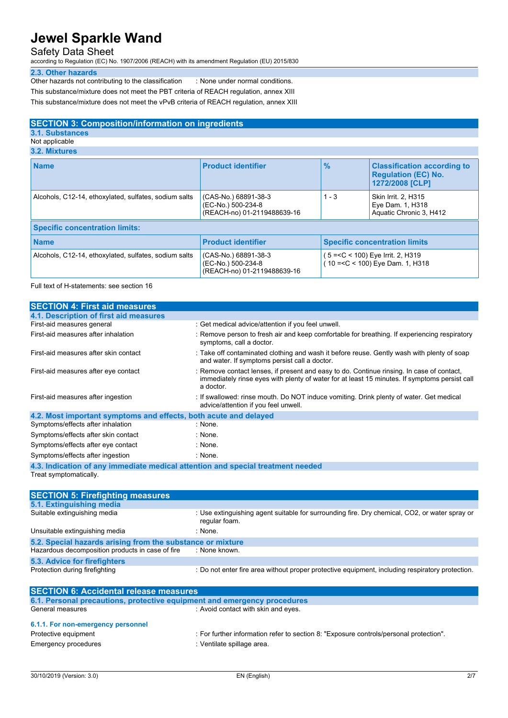## Safety Data Sheet

according to Regulation (EC) No. 1907/2006 (REACH) with its amendment Regulation (EU) 2015/830

#### **2.3. Other hazards**

Other hazards not contributing to the classification : None under normal conditions. This substance/mixture does not meet the PBT criteria of REACH regulation, annex XIII This substance/mixture does not meet the vPvB criteria of REACH regulation, annex XIII

### **SECTION 3: Composition/information on ingredients**

### **3.1. Substances**

Not applicable

### **3.2. Mixtures**

| <b>Name</b>                                           | <b>Product identifier</b>                                                 | $\frac{9}{6}$                                                                                     | <b>Classification according to</b><br><b>Regulation (EC) No.</b><br>1272/2008 [CLP] |
|-------------------------------------------------------|---------------------------------------------------------------------------|---------------------------------------------------------------------------------------------------|-------------------------------------------------------------------------------------|
| Alcohols, C12-14, ethoxylated, sulfates, sodium salts | (CAS-No.) 68891-38-3<br>(EC-No.) 500-234-8<br>(REACH-no) 01-2119488639-16 | $1 - 3$                                                                                           | Skin Irrit. 2, H315<br>Eye Dam. 1, H318<br>Aquatic Chronic 3, H412                  |
| <b>Specific concentration limits:</b>                 |                                                                           |                                                                                                   |                                                                                     |
| <b>Name</b>                                           | <b>Product identifier</b>                                                 |                                                                                                   | <b>Specific concentration limits</b>                                                |
| Alcohols, C12-14, ethoxylated, sulfates, sodium salts | (CAS-No.) 68891-38-3<br>(EC-No.) 500-234-8<br>(REACH-no) 01-2119488639-16 | 5 = <c 100)="" 2,="" <="" eye="" h319<br="" irrit.="">(10 = &lt; C &lt; 100) Eye Dam. 1, H318</c> |                                                                                     |

Full text of H-statements: see section 16

| <b>SECTION 4: First aid measures</b>                                            |                                                                                                                                                                                                         |
|---------------------------------------------------------------------------------|---------------------------------------------------------------------------------------------------------------------------------------------------------------------------------------------------------|
| 4.1. Description of first aid measures                                          |                                                                                                                                                                                                         |
| First-aid measures general                                                      | : Get medical advice/attention if you feel unwell.                                                                                                                                                      |
| First-aid measures after inhalation                                             | : Remove person to fresh air and keep comfortable for breathing. If experiencing respiratory<br>symptoms, call a doctor.                                                                                |
| First-aid measures after skin contact                                           | : Take off contaminated clothing and wash it before reuse. Gently wash with plenty of soap<br>and water. If symptoms persist call a doctor.                                                             |
| First-aid measures after eye contact                                            | : Remove contact lenses, if present and easy to do. Continue rinsing. In case of contact,<br>immediately rinse eyes with plenty of water for at least 15 minutes. If symptoms persist call<br>a doctor. |
| First-aid measures after ingestion                                              | : If swallowed: rinse mouth. Do NOT induce vomiting. Drink plenty of water. Get medical<br>advice/attention if you feel unwell.                                                                         |
| 4.2. Most important symptoms and effects, both acute and delayed                |                                                                                                                                                                                                         |
| Symptoms/effects after inhalation                                               | : None.                                                                                                                                                                                                 |
| Symptoms/effects after skin contact                                             | : None.                                                                                                                                                                                                 |
| Symptoms/effects after eye contact                                              | : None.                                                                                                                                                                                                 |
| Symptoms/effects after ingestion                                                | : None.                                                                                                                                                                                                 |
| 4.3. Indication of any immediate medical attention and special treatment needed |                                                                                                                                                                                                         |
| Treat symptomatically.                                                          |                                                                                                                                                                                                         |

**SECTION 5: Firefighting measures 5.1. Extinguishing media** : Use extinguishing agent suitable for surrounding fire. Dry chemical, CO2, or water spray or regular foam. Unsuitable extinguishing media : None. **5.2. Special hazards arising from the substance or mixture** Hazardous decomposition products in case of fire **5.3. Advice for firefighters** : Do not enter fire area without proper protective equipment, including respiratory protection. **SECTION 6: Accidental release measures 6.1. Personal precautions, protective equipment and emergency procedures** General measures : Avoid contact with skin and eyes.

## **6.1.1. For non-emergency personnel** Emergency procedures : Ventilate spillage area.

Protective equipment : For further information refer to section 8: "Exposure controls/personal protection".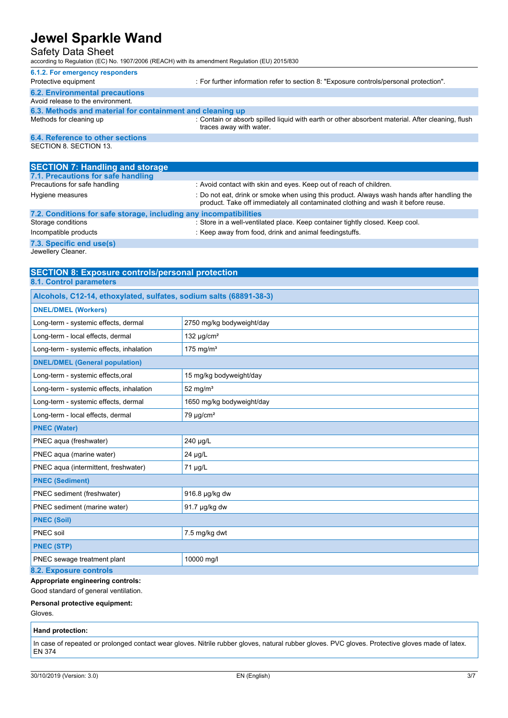## Safety Data Sheet

according to Regulation (EC) No. 1907/2006 (REACH) with its amendment Regulation (EU) 2015/830

| 6.1.2. For emergency responders                           |                                                                                                                             |
|-----------------------------------------------------------|-----------------------------------------------------------------------------------------------------------------------------|
| Protective equipment                                      | : For further information refer to section 8: "Exposure controls/personal protection".                                      |
| <b>6.2. Environmental precautions</b>                     |                                                                                                                             |
| Avoid release to the environment.                         |                                                                                                                             |
| 6.3. Methods and material for containment and cleaning up |                                                                                                                             |
| Methods for cleaning up                                   | : Contain or absorb spilled liquid with earth or other absorbent material. After cleaning, flush<br>traces away with water. |
| 6.4. Reference to other sections                          |                                                                                                                             |
| SECTION 8. SECTION 13.                                    |                                                                                                                             |

| <b>SECTION 7: Handling and storage</b>                            |                                                                                                                                                                                 |  |
|-------------------------------------------------------------------|---------------------------------------------------------------------------------------------------------------------------------------------------------------------------------|--|
| 7.1. Precautions for safe handling                                |                                                                                                                                                                                 |  |
| Precautions for safe handling                                     | : Avoid contact with skin and eyes. Keep out of reach of children.                                                                                                              |  |
| Hygiene measures                                                  | : Do not eat, drink or smoke when using this product. Always wash hands after handling the<br>product. Take off immediately all contaminated clothing and wash it before reuse. |  |
| 7.2. Conditions for safe storage, including any incompatibilities |                                                                                                                                                                                 |  |
| Storage conditions                                                | : Store in a well-ventilated place. Keep container tightly closed. Keep cool.                                                                                                   |  |
| Incompatible products                                             | : Keep away from food, drink and animal feedingstuffs.                                                                                                                          |  |

**7.3. Specific end use(s)** Jewellery Cleaner.

#### **SECTION 8: Exposure controls/personal protection 8.1. Control parameters**

| Alcohols, C12-14, ethoxylated, sulfates, sodium salts (68891-38-3) |                             |  |  |
|--------------------------------------------------------------------|-----------------------------|--|--|
| <b>DNEL/DMEL (Workers)</b>                                         |                             |  |  |
| Long-term - systemic effects, dermal                               | 2750 mg/kg bodyweight/day   |  |  |
| Long-term - local effects, dermal                                  | 132 $\mu$ g/cm <sup>2</sup> |  |  |
| Long-term - systemic effects, inhalation                           | 175 mg/ $m3$                |  |  |
| <b>DNEL/DMEL (General population)</b>                              |                             |  |  |
| Long-term - systemic effects.oral                                  | 15 mg/kg bodyweight/day     |  |  |
| Long-term - systemic effects, inhalation                           | $52$ mg/m <sup>3</sup>      |  |  |
| Long-term - systemic effects, dermal                               | 1650 mg/kg bodyweight/day   |  |  |
| Long-term - local effects, dermal                                  | $79 \mu g/cm^2$             |  |  |
| <b>PNEC (Water)</b>                                                |                             |  |  |
| PNEC aqua (freshwater)                                             | 240 µg/L                    |  |  |
| PNEC aqua (marine water)                                           | $24 \mu g/L$                |  |  |
| PNEC aqua (intermittent, freshwater)                               | $71 \mu g/L$                |  |  |
| <b>PNEC (Sediment)</b>                                             |                             |  |  |
| PNEC sediment (freshwater)                                         | 916.8 µg/kg dw              |  |  |
| PNEC sediment (marine water)                                       | 91.7 µg/kg dw               |  |  |
| <b>PNEC (Soil)</b>                                                 |                             |  |  |
| PNEC soil                                                          | 7.5 mg/kg dwt               |  |  |
| <b>PNEC (STP)</b>                                                  |                             |  |  |
| PNEC sewage treatment plant                                        | 10000 mg/l                  |  |  |
| 8.2. Exposure controls                                             |                             |  |  |
| Appropriate engineering controls:                                  |                             |  |  |
| Good standard of general ventilation.                              |                             |  |  |

#### **Personal protective equipment:**

Gloves.

## **Hand protection:**

In case of repeated or prolonged contact wear gloves. Nitrile rubber gloves, natural rubber gloves. PVC gloves. Protective gloves made of latex. EN 374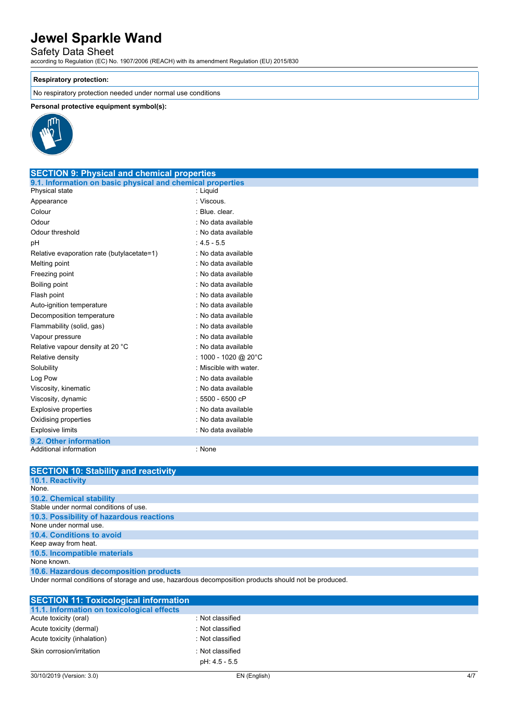## Safety Data Sheet

according to Regulation (EC) No. 1907/2006 (REACH) with its amendment Regulation (EU) 2015/830

### **Respiratory protection:**

No respiratory protection needed under normal use conditions

### **Personal protective equipment symbol(s):**



| <b>SECTION 9: Physical and chemical properties</b>         |                        |
|------------------------------------------------------------|------------------------|
| 9.1. Information on basic physical and chemical properties |                        |
| Physical state                                             | : Liguid               |
| Appearance                                                 | : Viscous.             |
| Colour                                                     | : Blue, clear,         |
| Odour                                                      | : No data available    |
| Odour threshold                                            | : No data available    |
| рH                                                         | $: 4.5 - 5.5$          |
| Relative evaporation rate (butylacetate=1)                 | : No data available    |
| Melting point                                              | : No data available    |
| Freezing point                                             | : No data available    |
| Boiling point                                              | : No data available    |
| Flash point                                                | : No data available    |
| Auto-ignition temperature                                  | : No data available    |
| Decomposition temperature                                  | : No data available    |
| Flammability (solid, gas)                                  | : No data available    |
| Vapour pressure                                            | : No data available    |
| Relative vapour density at 20 °C                           | : No data available    |
| Relative density                                           | : 1000 - 1020 @ 20°C   |
| Solubility                                                 | : Miscible with water. |
| Log Pow                                                    | : No data available    |
| Viscosity, kinematic                                       | : No data available    |
| Viscosity, dynamic                                         | $: 5500 - 6500$ cP     |
| <b>Explosive properties</b>                                | : No data available    |
| Oxidising properties                                       | : No data available    |
| <b>Explosive limits</b>                                    | : No data available    |
| 9.2. Other information                                     |                        |
| Additional information                                     | : None                 |

| <b>SECTION 10: Stability and reactivity</b>                                                          |
|------------------------------------------------------------------------------------------------------|
| 10.1. Reactivity                                                                                     |
| None.                                                                                                |
| <b>10.2. Chemical stability</b>                                                                      |
| Stable under normal conditions of use.                                                               |
| 10.3. Possibility of hazardous reactions                                                             |
| None under normal use.                                                                               |
| 10.4. Conditions to avoid                                                                            |
| Keep away from heat.                                                                                 |
| 10.5. Incompatible materials                                                                         |
| None known.                                                                                          |
| 10.6. Hazardous decomposition products                                                               |
| Under normal conditions of storage and use, hazardous decomposition products should not be produced. |

| : Not classified                             |  |
|----------------------------------------------|--|
| : Not classified                             |  |
| : Not classified                             |  |
| : Not classified                             |  |
| pH: 4.5 - 5.5                                |  |
| <b>SECTION 11: Toxicological information</b> |  |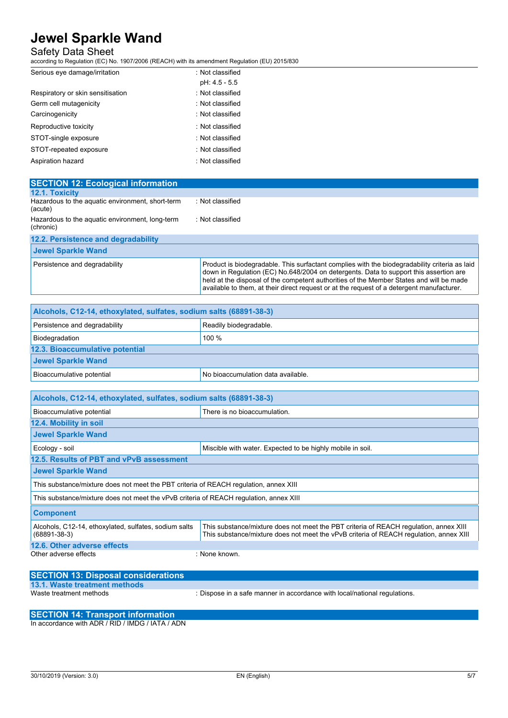## Safety Data Sheet

according to Regulation (EC) No. 1907/2006 (REACH) with its amendment Regulation (EU) 2015/830

| Serious eye damage/irritation     | : Not classified |
|-----------------------------------|------------------|
|                                   | pH: 4.5 - 5.5    |
| Respiratory or skin sensitisation | : Not classified |
| Germ cell mutagenicity            | : Not classified |
| Carcinogenicity                   | : Not classified |
| Reproductive toxicity             | : Not classified |
| STOT-single exposure              | : Not classified |
| STOT-repeated exposure            | : Not classified |
| Aspiration hazard                 | : Not classified |

| <b>SECTION 12: Ecological information</b>                    |                                                                                                                                                                                                                                                                                   |
|--------------------------------------------------------------|-----------------------------------------------------------------------------------------------------------------------------------------------------------------------------------------------------------------------------------------------------------------------------------|
| 12.1. Toxicity                                               |                                                                                                                                                                                                                                                                                   |
| Hazardous to the aquatic environment, short-term<br>(acute)  | : Not classified                                                                                                                                                                                                                                                                  |
| Hazardous to the aquatic environment, long-term<br>(chronic) | : Not classified                                                                                                                                                                                                                                                                  |
| 12.2. Persistence and degradability                          |                                                                                                                                                                                                                                                                                   |
| <b>Jewel Sparkle Wand</b>                                    |                                                                                                                                                                                                                                                                                   |
| Persistence and degradability                                | Product is biodegradable. This surfactant complies with the biodegradability criteria as laid<br>down in Regulation (EC) No.648/2004 on detergents. Data to support this assertion are<br>held at the disposal of the competent authorities of the Member States and will be made |

|                                                                    | available to them, at their direct request or at the request of a detergent manufacturer. |
|--------------------------------------------------------------------|-------------------------------------------------------------------------------------------|
|                                                                    |                                                                                           |
| Alcohols, C12-14, ethoxylated, sulfates, sodium salts (68891-38-3) |                                                                                           |
| Persistence and degradability                                      | Readily biodegradable.                                                                    |
| Biodegradation                                                     | 100 %                                                                                     |
| 2.3. Bioaccumulative potential                                     |                                                                                           |

| Bioaccumulative potential                                                              | No bioaccumulation data available.                                                                                                                                              |  |  |
|----------------------------------------------------------------------------------------|---------------------------------------------------------------------------------------------------------------------------------------------------------------------------------|--|--|
|                                                                                        |                                                                                                                                                                                 |  |  |
| Alcohols, C12-14, ethoxylated, sulfates, sodium salts (68891-38-3)                     |                                                                                                                                                                                 |  |  |
| Bioaccumulative potential                                                              | There is no bioaccumulation.                                                                                                                                                    |  |  |
| 12.4. Mobility in soil                                                                 |                                                                                                                                                                                 |  |  |
| Jewel Sparkle Wand                                                                     |                                                                                                                                                                                 |  |  |
| Ecology - soil                                                                         | Miscible with water. Expected to be highly mobile in soil.                                                                                                                      |  |  |
| 12.5. Results of PBT and vPvB assessment                                               |                                                                                                                                                                                 |  |  |
| Jewel Sparkle Wand                                                                     |                                                                                                                                                                                 |  |  |
| This substance/mixture does not meet the PBT criteria of REACH regulation, annex XIII  |                                                                                                                                                                                 |  |  |
| This substance/mixture does not meet the vPvB criteria of REACH regulation, annex XIII |                                                                                                                                                                                 |  |  |
| <b>Component</b>                                                                       |                                                                                                                                                                                 |  |  |
| Alcohols, C12-14, ethoxylated, sulfates, sodium salts<br>$(68891 - 38 - 3)$            | This substance/mixture does not meet the PBT criteria of REACH regulation, annex XIII<br>This substance/mixture does not meet the vPvB criteria of REACH requlation, annex XIII |  |  |
| 12.6. Other adverse effects                                                            |                                                                                                                                                                                 |  |  |
| Other adverse effects                                                                  | : None known.                                                                                                                                                                   |  |  |

| <b>SECTION 13: Disposal considerations</b> |                                                                           |
|--------------------------------------------|---------------------------------------------------------------------------|
| 13.1. Waste treatment methods              |                                                                           |
| Waste treatment methods                    | : Dispose in a safe manner in accordance with local/national regulations. |
|                                            |                                                                           |

## **SECTION 14: Transport information**

In accordance with ADR / RID / IMDG / IATA / ADN

 $\overline{12.3}$ 

**Jewel Sparkle Wand**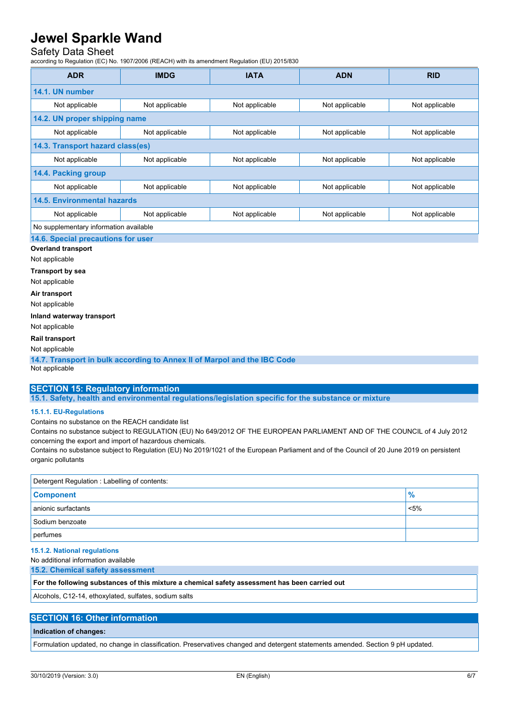## Safety Data Sheet

according to Regulation (EC) No. 1907/2006 (REACH) with its amendment Regulation (EU) 2015/830

| <b>ADR</b>                                                          | <b>IMDG</b>    | <b>IATA</b>    | <b>ADN</b>     | <b>RID</b>     |
|---------------------------------------------------------------------|----------------|----------------|----------------|----------------|
| 14.1. UN number                                                     |                |                |                |                |
| Not applicable                                                      | Not applicable | Not applicable | Not applicable | Not applicable |
| 14.2. UN proper shipping name                                       |                |                |                |                |
| Not applicable                                                      | Not applicable | Not applicable | Not applicable | Not applicable |
| 14.3. Transport hazard class(es)                                    |                |                |                |                |
| Not applicable                                                      | Not applicable | Not applicable | Not applicable | Not applicable |
| 14.4. Packing group                                                 |                |                |                |                |
| Not applicable                                                      | Not applicable | Not applicable | Not applicable | Not applicable |
| <b>14.5. Environmental hazards</b>                                  |                |                |                |                |
| Not applicable                                                      | Not applicable | Not applicable | Not applicable | Not applicable |
| No supplementary information available                              |                |                |                |                |
| 14.6. Special precautions for user<br>Acceptance of the company and |                |                |                |                |

## **Overland transport**

Not applicable

**Transport by sea**

## Not applicable

**Air transport** Not applicable

## **Inland waterway transport**

Not applicable

### **Rail transport**

Not applicable

**14.7. Transport in bulk according to Annex II of Marpol and the IBC Code** Not applicable

## **SECTION 15: Regulatory information**

**15.1. Safety, health and environmental regulations/legislation specific for the substance or mixture**

#### **15.1.1. EU-Regulations**

Contains no substance on the REACH candidate list

Contains no substance subject to REGULATION (EU) No 649/2012 OF THE EUROPEAN PARLIAMENT AND OF THE COUNCIL of 4 July 2012 concerning the export and import of hazardous chemicals.

Contains no substance subject to Regulation (EU) No 2019/1021 of the European Parliament and of the Council of 20 June 2019 on persistent organic pollutants

| Detergent Regulation: Labelling of contents: |         |  |
|----------------------------------------------|---------|--|
| <b>Component</b>                             | %       |  |
| anionic surfactants                          | $< 5\%$ |  |
| Sodium benzoate                              |         |  |
| perfumes                                     |         |  |

#### **15.1.2. National regulations**

No additional information available

**15.2. Chemical safety assessment**

**For the following substances of this mixture a chemical safety assessment has been carried out**

Alcohols, C12-14, ethoxylated, sulfates, sodium salts

### **SECTION 16: Other information**

#### **Indication of changes:**

Formulation updated, no change in classification. Preservatives changed and detergent statements amended. Section 9 pH updated.